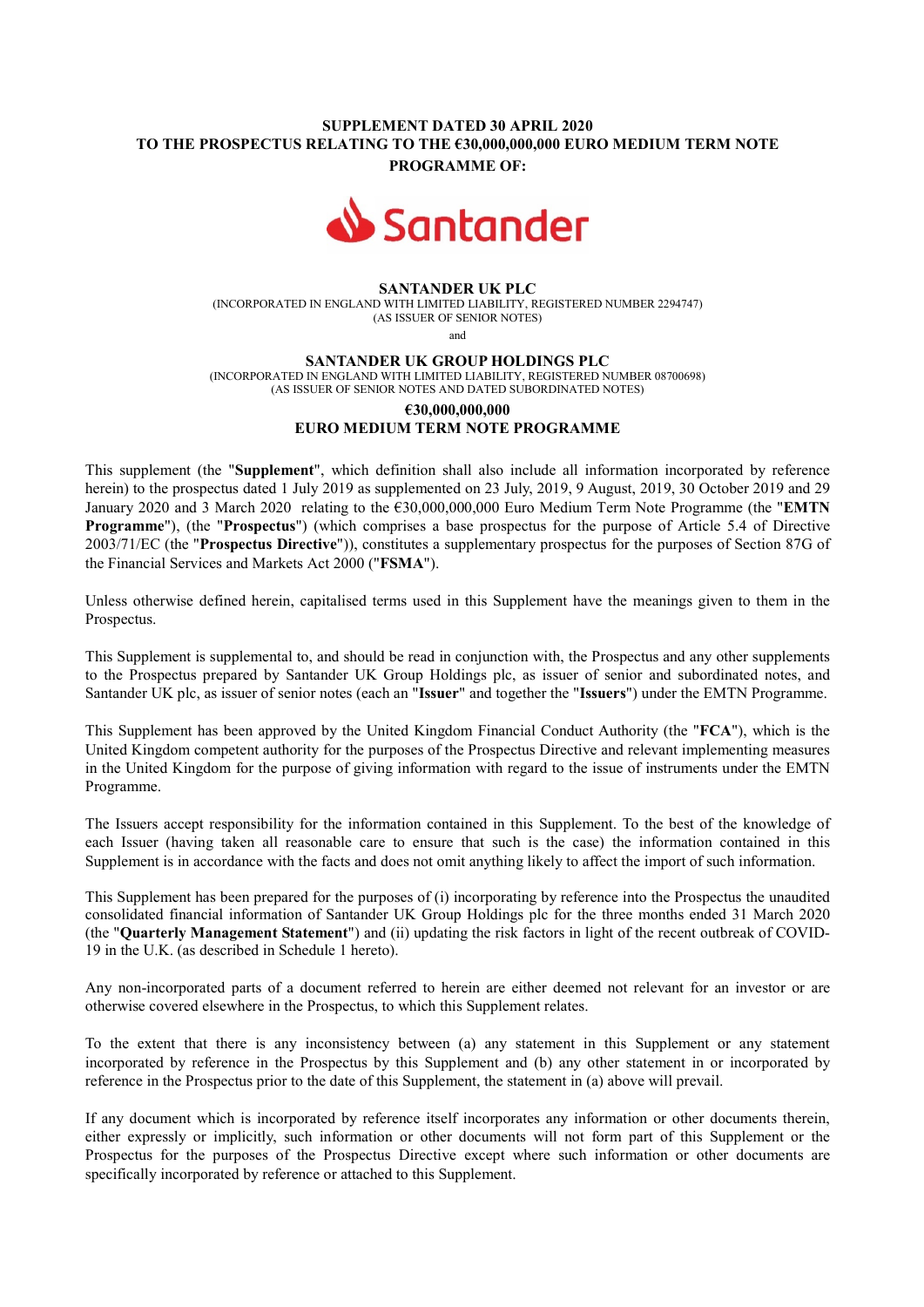## SUPPLEMENT DATED 30 APRIL 2020 TO THE PROSPECTUS RELATING TO THE €30,000,000,000 EURO MEDIUM TERM NOTE PROGRAMME OF:



#### SANTANDER UK PLC

(INCORPORATED IN ENGLAND WITH LIMITED LIABILITY, REGISTERED NUMBER 2294747) (AS ISSUER OF SENIOR NOTES)

and

#### SANTANDER UK GROUP HOLDINGS PLC

(INCORPORATED IN ENGLAND WITH LIMITED LIABILITY, REGISTERED NUMBER 08700698) (AS ISSUER OF SENIOR NOTES AND DATED SUBORDINATED NOTES)

# €30,000,000,000 EURO MEDIUM TERM NOTE PROGRAMME

This supplement (the "Supplement", which definition shall also include all information incorporated by reference herein) to the prospectus dated 1 July 2019 as supplemented on 23 July, 2019, 9 August, 2019, 30 October 2019 and 29 January 2020 and 3 March 2020 relating to the €30,000,000,000 Euro Medium Term Note Programme (the "EMTN Programme"), (the "Prospectus") (which comprises a base prospectus for the purpose of Article 5.4 of Directive 2003/71/EC (the "Prospectus Directive")), constitutes a supplementary prospectus for the purposes of Section 87G of the Financial Services and Markets Act 2000 ("FSMA").

Unless otherwise defined herein, capitalised terms used in this Supplement have the meanings given to them in the Prospectus.

This Supplement is supplemental to, and should be read in conjunction with, the Prospectus and any other supplements to the Prospectus prepared by Santander UK Group Holdings plc, as issuer of senior and subordinated notes, and Santander UK plc, as issuer of senior notes (each an "Issuer" and together the "Issuers") under the EMTN Programme.

This Supplement has been approved by the United Kingdom Financial Conduct Authority (the "FCA"), which is the United Kingdom competent authority for the purposes of the Prospectus Directive and relevant implementing measures in the United Kingdom for the purpose of giving information with regard to the issue of instruments under the EMTN Programme.

The Issuers accept responsibility for the information contained in this Supplement. To the best of the knowledge of each Issuer (having taken all reasonable care to ensure that such is the case) the information contained in this Supplement is in accordance with the facts and does not omit anything likely to affect the import of such information.

This Supplement has been prepared for the purposes of (i) incorporating by reference into the Prospectus the unaudited consolidated financial information of Santander UK Group Holdings plc for the three months ended 31 March 2020 (the "Quarterly Management Statement") and (ii) updating the risk factors in light of the recent outbreak of COVID-19 in the U.K. (as described in Schedule 1 hereto).

Any non-incorporated parts of a document referred to herein are either deemed not relevant for an investor or are otherwise covered elsewhere in the Prospectus, to which this Supplement relates.

To the extent that there is any inconsistency between (a) any statement in this Supplement or any statement incorporated by reference in the Prospectus by this Supplement and (b) any other statement in or incorporated by reference in the Prospectus prior to the date of this Supplement, the statement in (a) above will prevail.

If any document which is incorporated by reference itself incorporates any information or other documents therein, either expressly or implicitly, such information or other documents will not form part of this Supplement or the Prospectus for the purposes of the Prospectus Directive except where such information or other documents are specifically incorporated by reference or attached to this Supplement.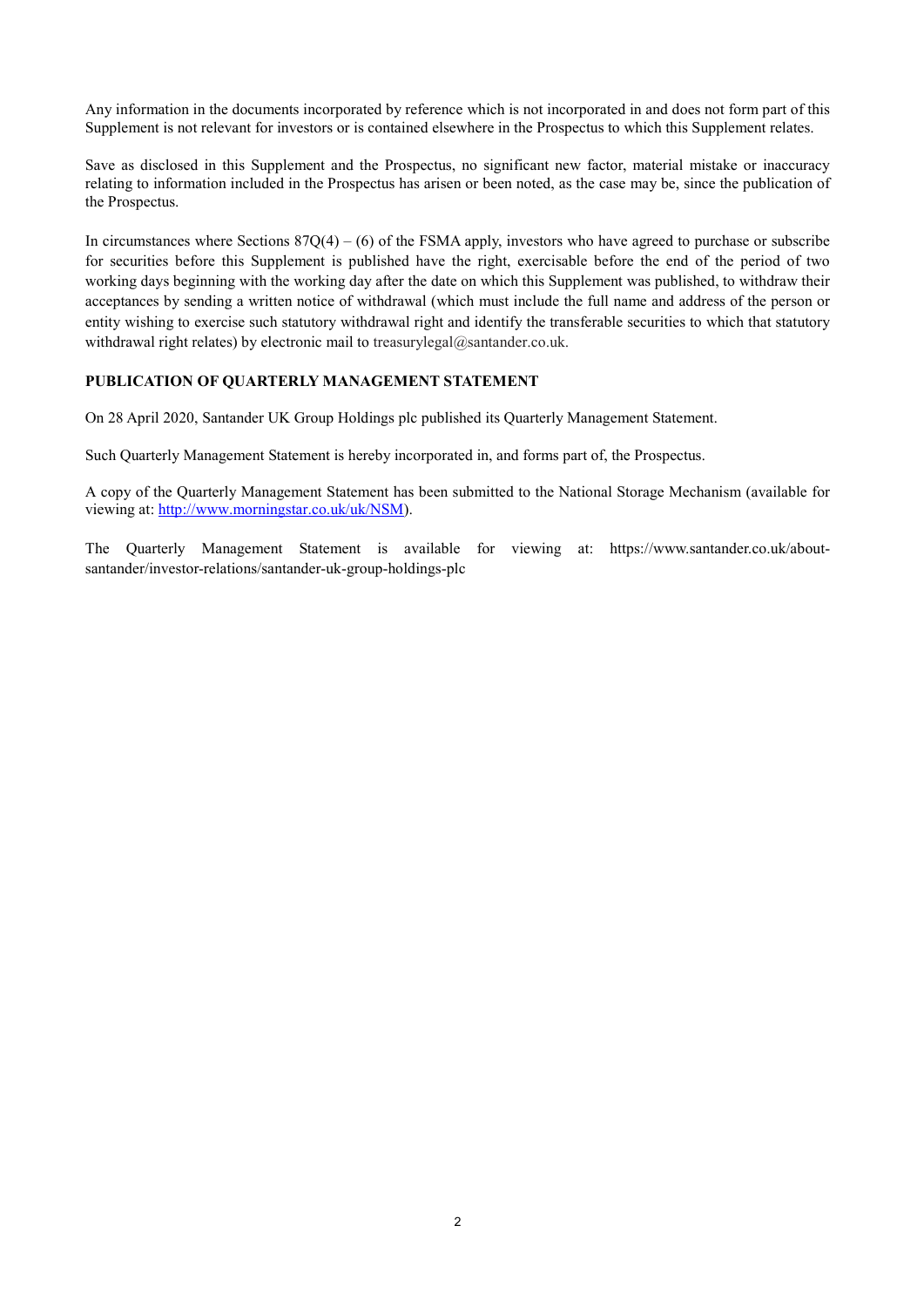Any information in the documents incorporated by reference which is not incorporated in and does not form part of this Supplement is not relevant for investors or is contained elsewhere in the Prospectus to which this Supplement relates.

Save as disclosed in this Supplement and the Prospectus, no significant new factor, material mistake or inaccuracy relating to information included in the Prospectus has arisen or been noted, as the case may be, since the publication of the Prospectus.

In circumstances where Sections  $87Q(4) - (6)$  of the FSMA apply, investors who have agreed to purchase or subscribe for securities before this Supplement is published have the right, exercisable before the end of the period of two working days beginning with the working day after the date on which this Supplement was published, to withdraw their acceptances by sending a written notice of withdrawal (which must include the full name and address of the person or entity wishing to exercise such statutory withdrawal right and identify the transferable securities to which that statutory withdrawal right relates) by electronic mail to treasurylegal@santander.co.uk.

## PUBLICATION OF QUARTERLY MANAGEMENT STATEMENT

On 28 April 2020, Santander UK Group Holdings plc published its Quarterly Management Statement.

Such Quarterly Management Statement is hereby incorporated in, and forms part of, the Prospectus.

A copy of the Quarterly Management Statement has been submitted to the National Storage Mechanism (available for viewing at: http://www.morningstar.co.uk/uk/NSM).

The Quarterly Management Statement is available for viewing at: https://www.santander.co.uk/aboutsantander/investor-relations/santander-uk-group-holdings-plc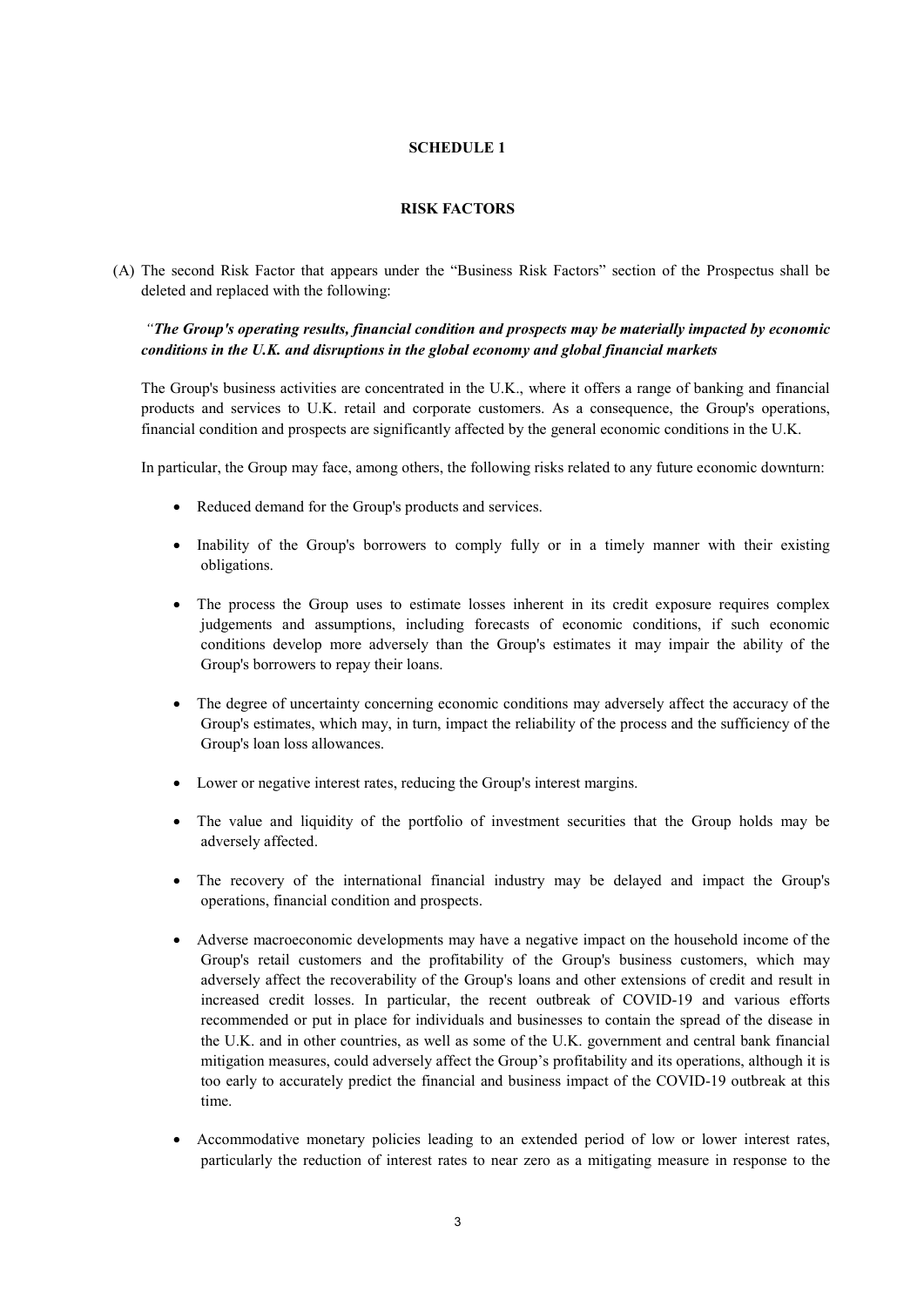## SCHEDULE 1

## RISK FACTORS

(A) The second Risk Factor that appears under the "Business Risk Factors" section of the Prospectus shall be deleted and replaced with the following:

# "The Group's operating results, financial condition and prospects may be materially impacted by economic conditions in the U.K. and disruptions in the global economy and global financial markets

The Group's business activities are concentrated in the U.K., where it offers a range of banking and financial products and services to U.K. retail and corporate customers. As a consequence, the Group's operations, financial condition and prospects are significantly affected by the general economic conditions in the U.K.

In particular, the Group may face, among others, the following risks related to any future economic downturn:

- Reduced demand for the Group's products and services.
- Inability of the Group's borrowers to comply fully or in a timely manner with their existing obligations.
- The process the Group uses to estimate losses inherent in its credit exposure requires complex judgements and assumptions, including forecasts of economic conditions, if such economic conditions develop more adversely than the Group's estimates it may impair the ability of the Group's borrowers to repay their loans.
- The degree of uncertainty concerning economic conditions may adversely affect the accuracy of the Group's estimates, which may, in turn, impact the reliability of the process and the sufficiency of the Group's loan loss allowances.
- Lower or negative interest rates, reducing the Group's interest margins.
- The value and liquidity of the portfolio of investment securities that the Group holds may be adversely affected.
- The recovery of the international financial industry may be delayed and impact the Group's operations, financial condition and prospects.
- Adverse macroeconomic developments may have a negative impact on the household income of the Group's retail customers and the profitability of the Group's business customers, which may adversely affect the recoverability of the Group's loans and other extensions of credit and result in increased credit losses. In particular, the recent outbreak of COVID-19 and various efforts recommended or put in place for individuals and businesses to contain the spread of the disease in the U.K. and in other countries, as well as some of the U.K. government and central bank financial mitigation measures, could adversely affect the Group's profitability and its operations, although it is too early to accurately predict the financial and business impact of the COVID-19 outbreak at this time.
- Accommodative monetary policies leading to an extended period of low or lower interest rates, particularly the reduction of interest rates to near zero as a mitigating measure in response to the